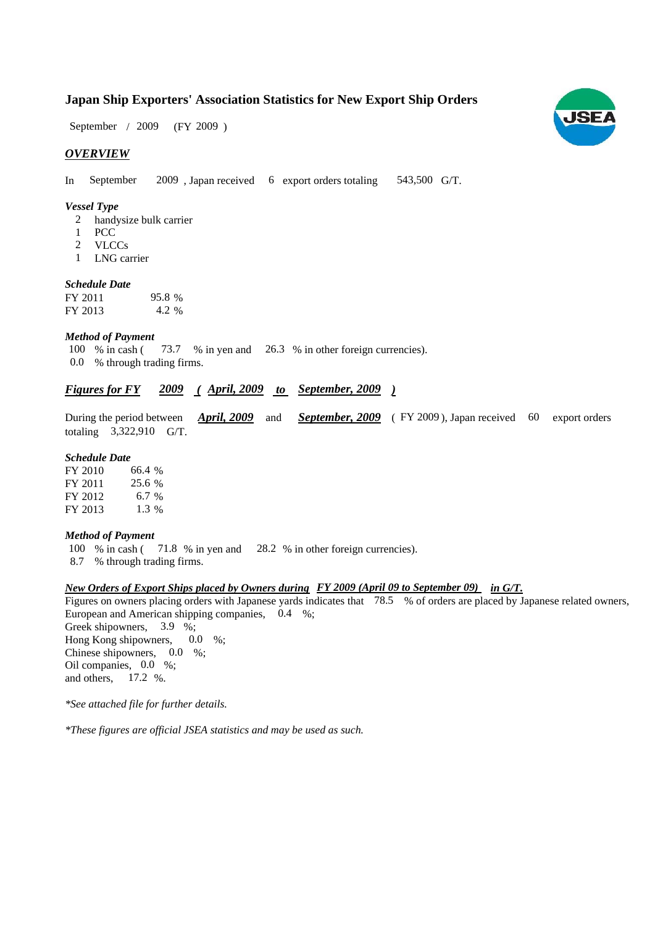### **Japan Ship Exporters' Association Statistics for New Export Ship Orders**

 $(FY 2009)$ September / 2009

#### *OVERVIEW*

In September 2009, Japan received 6 export orders totaling 543,500 G/T.

#### *Vessel Type*

- handysize bulk carrier 2
- PCC 1
- VLCCs 2
- LNG carrier 1

#### *Schedule Date*

| FY 2011 | 95.8 % |
|---------|--------|
| FY 2013 | 4.2 %  |

#### *Method of Payment*

% in cash ( $\frac{73.7}{8}$  % in yen and  $\frac{26.3}{8}$  % in other foreign currencies). 0.0 % through trading firms. 100 % in cash (

#### *Figures for FY* 2009 (April, 2009 to September, 2009) *2009*

During the period between *April, 2009* and *September, 2009* (FY 2009), Japan received 60 export orders totaling  $3,322,910$  G/T.

#### *Schedule Date*

FY 2010 FY 2011 FY 2012 FY 2013 6.7 % 1.3 25.6 66.4

#### *Method of Payment*

- 100 % in cash (71.8 % in yen and 28.2 % in other foreign currencies).
- % through trading firms. 8.7

#### *New Orders of Export Ships placed by Owners during in G/T. FY 2009 (April 09 to September 09)*

Figures on owners placing orders with Japanese yards indicates that 78.5 % of orders are placed by Japanese related owners, European and American shipping companies, 0.4 %; Greek shipowners, 3.9 %; Hong Kong shipowners, 0.0 %; 0.0

Chinese shipowners,  $0.0\%$ ; Oil companies, 0.0 %; and others,  $17.2 %$ .

*\*See attached file for further details.*

*\*These figures are official JSEA statistics and may be used as such.*

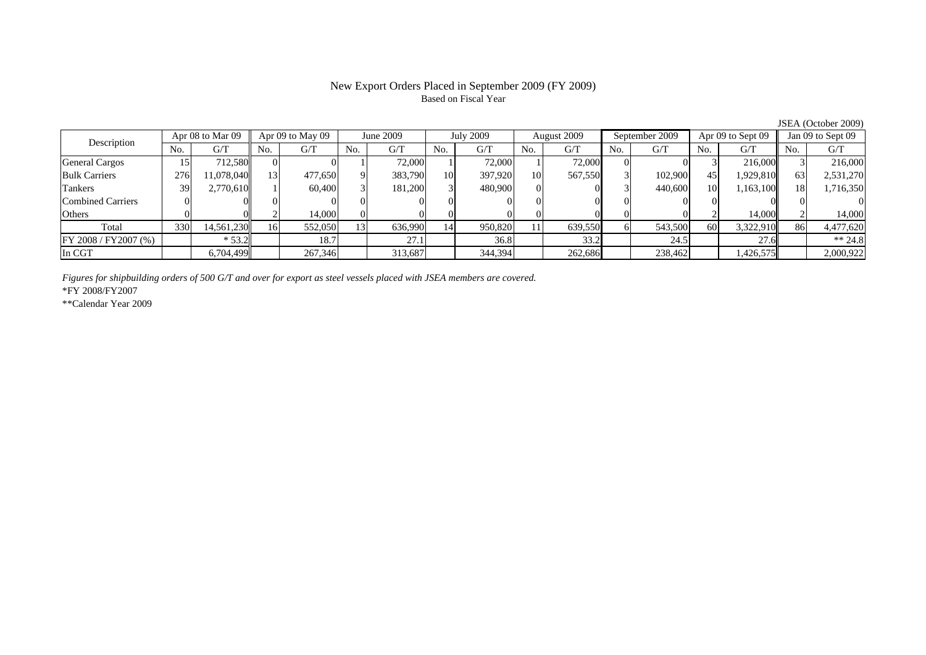# Based on Fiscal Year

No. G/T No. G/T No. G/T No. G/T No. G/T No. G/T No. G/T No. G/T $G/T$ General Cargos ( 15 712,580 0 0 0 1 72,000 1 72,000 1 72,000 0 0 3 216,000 3 216,000 Bulk Carriers 1 276 11,078,040 13 477,650 9 383,790 10 397,920 10 567,550 3 102,900 45 1,929,810 63 2,531,270 Tankers | 39| 2,770,610|| 1| 60,400| 3| 181,200| 3| 480,900| 0| 0| 3| 440,600| 10| 1,163,100|| 18| 1,716,350 Combined Carriers 0 0 0 0 0 0 0 0 0 0 0 0 0 0 0 0Others | 0 | 0 || 2 | 14,000 || 0 | 0 | 0 | 0 | 0 | 0 | 2 | 14,000 | Total 330 14,561,230 16 552,050 13 636,990 14 950,820 11 639,550 6 543,500 60 3,322,910 86 4,477,620 FY 2008 / FY2007 (%) \* 53.2 18.7 18.7 27.1 36.8 33.2 24.5 27.6 \* 37.6 \* 34.8 In CGT | | 6,704,499 | | 267,346 | | 313,687 | | 344,394 | | 262,686 | | 238,462 | | 1,426,575 | | 2,000,922 July 2009 Description Apr 08 to Mar 09 Apr 09 to May 09 June 2009 August 2009 September 2009 Apr 09 to Sept 09 Jan 09 to Sept 09

*Figures for shipbuilding orders of 500 G/T and over for export as steel vessels placed with JSEA members are covered.*

\*FY 2008/FY2007

\*\*Calendar Year 2009

JSEA (October 2009)

## New Export Orders Placed in September 2009 (FY 2009)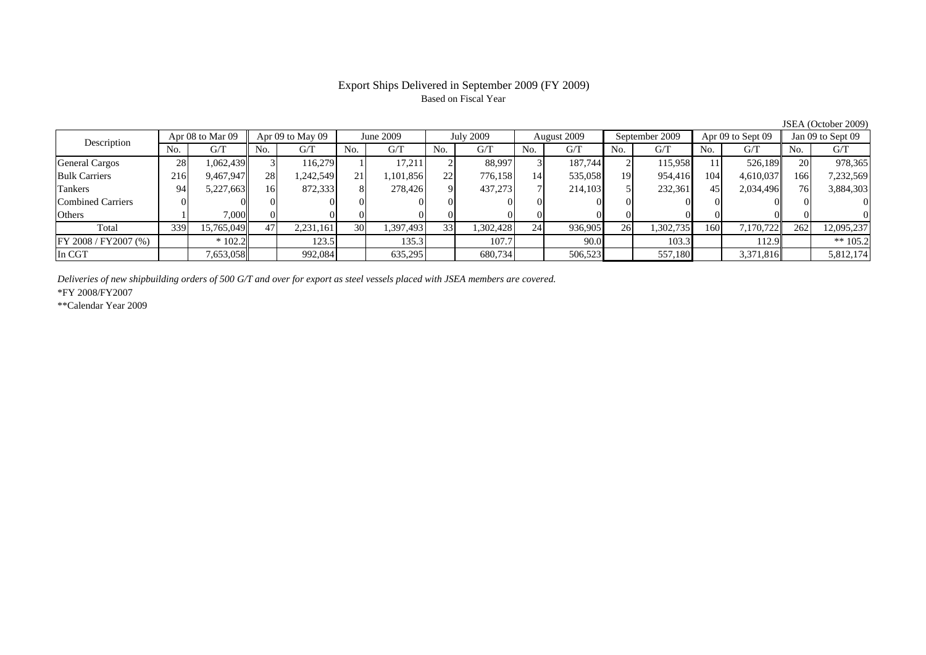#### Export Ships Delivered in September 2009 (FY 2009) Based on Fiscal Year

JSEA (October 2009)

| Description             | Apr 08 to Mar 09 |            | Apr 09 to May 09 |           | June 2009 |           | <b>July 2009</b> |           | August 2009 |         | September 2009 |           | Apr 09 to Sept 09 |           | Jan 09 to Sept 09 |            |
|-------------------------|------------------|------------|------------------|-----------|-----------|-----------|------------------|-----------|-------------|---------|----------------|-----------|-------------------|-----------|-------------------|------------|
|                         | No.              | G/T        | No.              | G/T       | No.       | G/T       | No.              | G/T       | No.         | G/T     | No.            | G/T       | No.               | G/T       | No.               | G/T        |
| <b>General Cargos</b>   | 28 <sub>1</sub>  | 1,062,439  |                  | 116,279   |           | 17.211    |                  | 88.997    |             | 187,744 |                | 115,958   |                   | 526,189   | 20                | 978,365    |
| <b>Bulk Carriers</b>    | 216              | 9,467,947  | 28               | ,242,549  | 21        | .101,856  | 22               | 776,158   | 14          | 535,058 | 19             | 954,416   | 104               | 4,610,037 | 166               | 7,232,569  |
| Tankers                 | 94               | 5,227,663  | l6               | 872,333   |           | 278,426   |                  | 437,273   |             | 214,103 |                | 232,361   | 45                | 2,034,496 | 76                | 3,884,303  |
| Combined Carriers       |                  |            |                  |           |           |           |                  |           | $\Omega$    |         |                |           |                   |           |                   |            |
| <b>Others</b>           |                  | 7,000      |                  |           |           |           |                  |           |             |         |                |           |                   |           |                   |            |
| Total                   | 339              | 15,765,049 | 47               | 2,231,161 | <b>30</b> | 1,397,493 | 331              | 1,302,428 | 24          | 936,905 | 26             | 1,302,735 | 160               | 7,170,722 | 262               | 12,095,237 |
| $FY 2008 / FY 2007$ (%) |                  | $*102.2$   |                  | 123.5     |           | 135.3     |                  | 107.7     |             | 90.0    |                | 103.3     |                   | 112.9     |                   | ** $105.2$ |
| In CGT                  |                  | 7,653,058  |                  | 992,084   |           | 635,295   |                  | 680,734   |             | 506,523 |                | 557,180   |                   | 3,371,816 |                   | 5,812,174  |

*Deliveries of new shipbuilding orders of 500 G/T and over for export as steel vessels placed with JSEA members are covered.*

\*FY 2008/FY2007

\*\*Calendar Year 2009